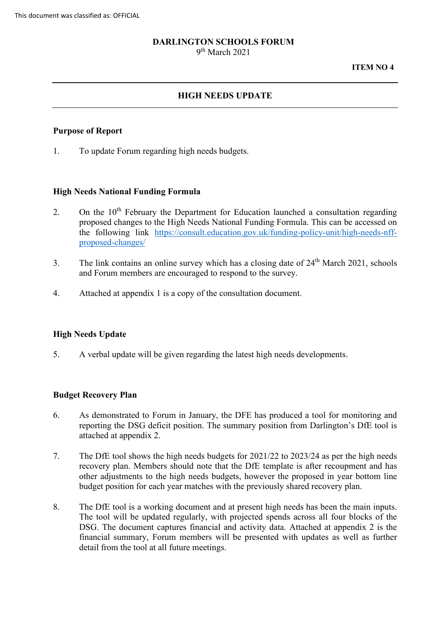## **DARLINGTON SCHOOLS FORUM**

9th March 2021

#### **ITEM NO 4**

# **HIGH NEEDS UPDATE**

### **Purpose of Report**

1. To update Forum regarding high needs budgets.

#### **High Needs National Funding Formula**

- 2. On the  $10<sup>th</sup>$  February the Department for Education launched a consultation regarding [proposed-changes/](https://consult.education.gov.uk/funding-policy-unit/high-needs-nff-proposed-changes/)  proposed changes to the High Needs National Funding Formula. This can be accessed on the following link [https://consult.education.gov.uk/funding-policy-unit/high-needs-nff-](https://consult.education.gov.uk/funding-policy-unit/high-needs-nff-proposed-changes/)
- 3. The link contains an online survey which has a closing date of 24<sup>th</sup> March 2021, schools and Forum members are encouraged to respond to the survey.
- 4. Attached at appendix 1 is a copy of the consultation document.

#### **High Needs Update**

5. A verbal update will be given regarding the latest high needs developments.

#### **Budget Recovery Plan**

- reporting the DSG deficit position. The summary position from Darlington's DfE tool is 6. As demonstrated to Forum in January, the DFE has produced a tool for monitoring and attached at appendix 2.
- recovery plan. Members should note that the DfE template is after recoupment and has 7. The DfE tool shows the high needs budgets for 2021/22 to 2023/24 as per the high needs other adjustments to the high needs budgets, however the proposed in year bottom line budget position for each year matches with the previously shared recovery plan.
- The tool will be updated regularly, with projected spends across all four blocks of the financial summary, Forum members will be presented with updates as well as further detail from the tool at all future meetings. 8. The DfE tool is a working document and at present high needs has been the main inputs. DSG. The document captures financial and activity data. Attached at appendix 2 is the